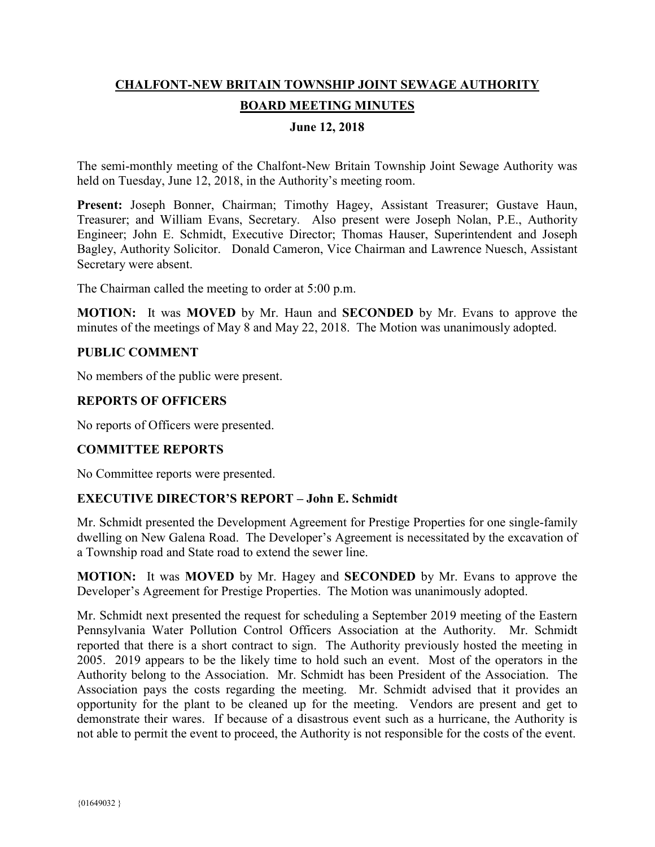# **CHALFONT-NEW BRITAIN TOWNSHIP JOINT SEWAGE AUTHORITY BOARD MEETING MINUTES**

### **June 12, 2018**

The semi-monthly meeting of the Chalfont-New Britain Township Joint Sewage Authority was held on Tuesday, June 12, 2018, in the Authority's meeting room.

**Present:** Joseph Bonner, Chairman; Timothy Hagey, Assistant Treasurer; Gustave Haun, Treasurer; and William Evans, Secretary. Also present were Joseph Nolan, P.E., Authority Engineer; John E. Schmidt, Executive Director; Thomas Hauser, Superintendent and Joseph Bagley, Authority Solicitor. Donald Cameron, Vice Chairman and Lawrence Nuesch, Assistant Secretary were absent.

The Chairman called the meeting to order at 5:00 p.m.

**MOTION:** It was **MOVED** by Mr. Haun and **SECONDED** by Mr. Evans to approve the minutes of the meetings of May 8 and May 22, 2018. The Motion was unanimously adopted.

#### **PUBLIC COMMENT**

No members of the public were present.

#### **REPORTS OF OFFICERS**

No reports of Officers were presented.

## **COMMITTEE REPORTS**

No Committee reports were presented.

#### **EXECUTIVE DIRECTOR'S REPORT – John E. Schmidt**

Mr. Schmidt presented the Development Agreement for Prestige Properties for one single-family dwelling on New Galena Road. The Developer's Agreement is necessitated by the excavation of a Township road and State road to extend the sewer line.

**MOTION:** It was **MOVED** by Mr. Hagey and **SECONDED** by Mr. Evans to approve the Developer's Agreement for Prestige Properties. The Motion was unanimously adopted.

Mr. Schmidt next presented the request for scheduling a September 2019 meeting of the Eastern Pennsylvania Water Pollution Control Officers Association at the Authority. Mr. Schmidt reported that there is a short contract to sign. The Authority previously hosted the meeting in 2005. 2019 appears to be the likely time to hold such an event. Most of the operators in the Authority belong to the Association. Mr. Schmidt has been President of the Association. The Association pays the costs regarding the meeting. Mr. Schmidt advised that it provides an opportunity for the plant to be cleaned up for the meeting. Vendors are present and get to demonstrate their wares. If because of a disastrous event such as a hurricane, the Authority is not able to permit the event to proceed, the Authority is not responsible for the costs of the event.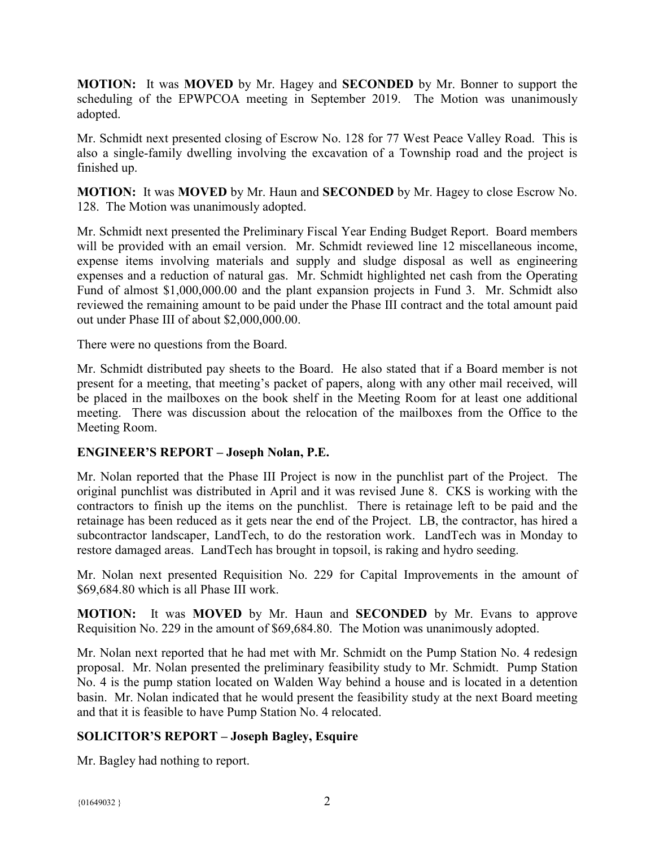**MOTION:** It was **MOVED** by Mr. Hagey and **SECONDED** by Mr. Bonner to support the scheduling of the EPWPCOA meeting in September 2019. The Motion was unanimously adopted.

Mr. Schmidt next presented closing of Escrow No. 128 for 77 West Peace Valley Road. This is also a single-family dwelling involving the excavation of a Township road and the project is finished up.

**MOTION:** It was **MOVED** by Mr. Haun and **SECONDED** by Mr. Hagey to close Escrow No. 128. The Motion was unanimously adopted.

Mr. Schmidt next presented the Preliminary Fiscal Year Ending Budget Report. Board members will be provided with an email version. Mr. Schmidt reviewed line 12 miscellaneous income, expense items involving materials and supply and sludge disposal as well as engineering expenses and a reduction of natural gas. Mr. Schmidt highlighted net cash from the Operating Fund of almost \$1,000,000.00 and the plant expansion projects in Fund 3. Mr. Schmidt also reviewed the remaining amount to be paid under the Phase III contract and the total amount paid out under Phase III of about \$2,000,000.00.

There were no questions from the Board.

Mr. Schmidt distributed pay sheets to the Board. He also stated that if a Board member is not present for a meeting, that meeting's packet of papers, along with any other mail received, will be placed in the mailboxes on the book shelf in the Meeting Room for at least one additional meeting. There was discussion about the relocation of the mailboxes from the Office to the Meeting Room.

## **ENGINEER'S REPORT – Joseph Nolan, P.E.**

Mr. Nolan reported that the Phase III Project is now in the punchlist part of the Project. The original punchlist was distributed in April and it was revised June 8. CKS is working with the contractors to finish up the items on the punchlist. There is retainage left to be paid and the retainage has been reduced as it gets near the end of the Project. LB, the contractor, has hired a subcontractor landscaper, LandTech, to do the restoration work. LandTech was in Monday to restore damaged areas. LandTech has brought in topsoil, is raking and hydro seeding.

Mr. Nolan next presented Requisition No. 229 for Capital Improvements in the amount of \$69,684.80 which is all Phase III work.

**MOTION:** It was **MOVED** by Mr. Haun and **SECONDED** by Mr. Evans to approve Requisition No. 229 in the amount of \$69,684.80. The Motion was unanimously adopted.

Mr. Nolan next reported that he had met with Mr. Schmidt on the Pump Station No. 4 redesign proposal. Mr. Nolan presented the preliminary feasibility study to Mr. Schmidt. Pump Station No. 4 is the pump station located on Walden Way behind a house and is located in a detention basin. Mr. Nolan indicated that he would present the feasibility study at the next Board meeting and that it is feasible to have Pump Station No. 4 relocated.

## **SOLICITOR'S REPORT – Joseph Bagley, Esquire**

Mr. Bagley had nothing to report.